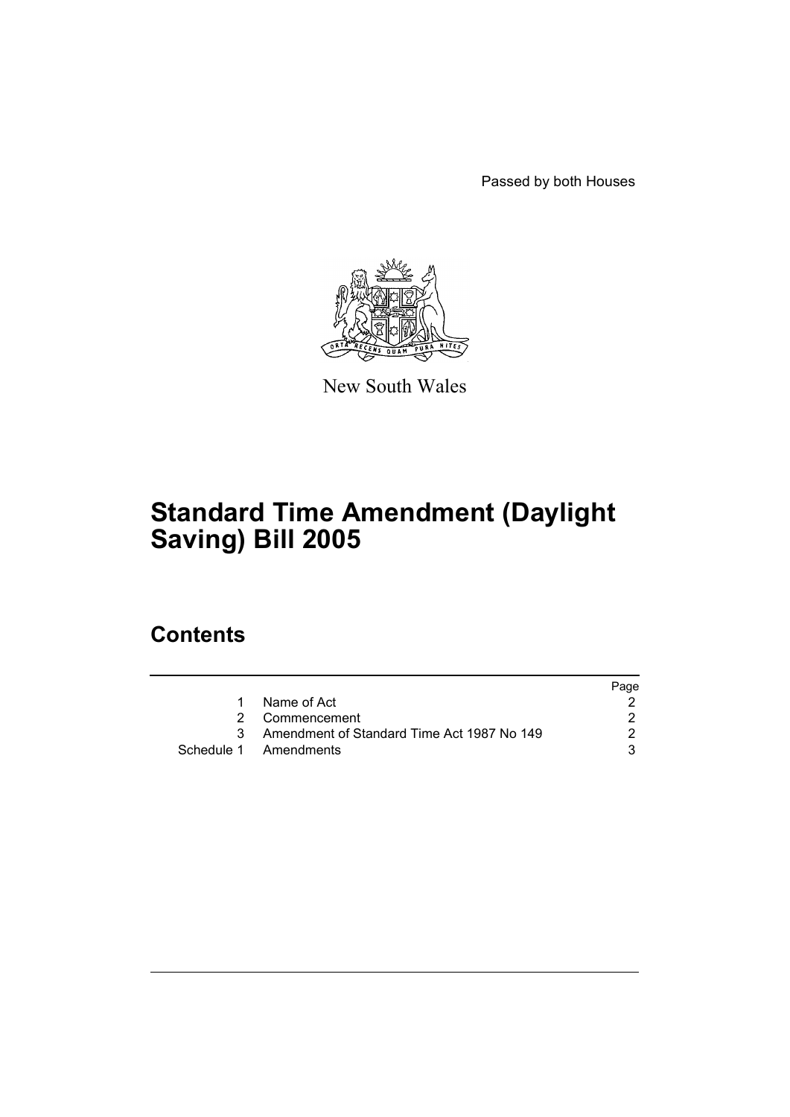Passed by both Houses



New South Wales

# **Standard Time Amendment (Daylight Saving) Bill 2005**

## **Contents**

|    |                                            | Page |
|----|--------------------------------------------|------|
| 1. | Name of Act                                |      |
|    | 2 Commencement                             |      |
|    | Amendment of Standard Time Act 1987 No 149 |      |
|    | Schedule 1 Amendments                      |      |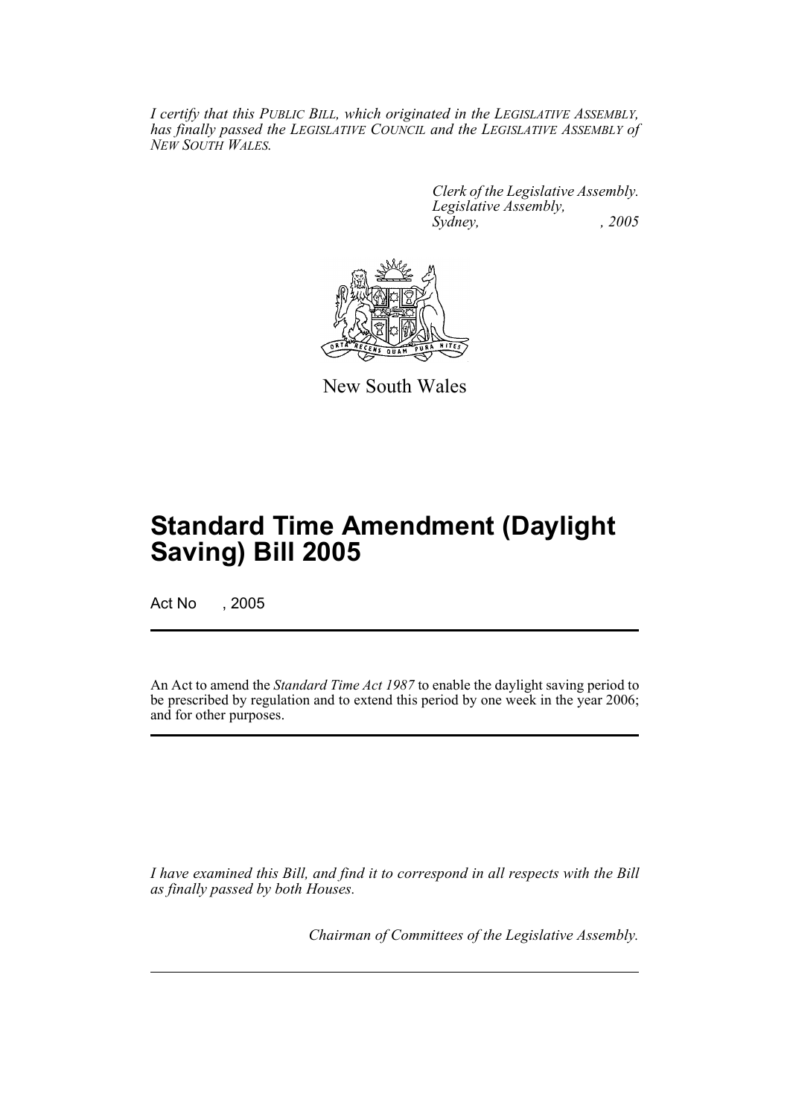*I certify that this PUBLIC BILL, which originated in the LEGISLATIVE ASSEMBLY, has finally passed the LEGISLATIVE COUNCIL and the LEGISLATIVE ASSEMBLY of NEW SOUTH WALES.*

> *Clerk of the Legislative Assembly. Legislative Assembly, Sydney, , 2005*



New South Wales

## **Standard Time Amendment (Daylight Saving) Bill 2005**

Act No , 2005

An Act to amend the *Standard Time Act 1987* to enable the daylight saving period to be prescribed by regulation and to extend this period by one week in the year 2006; and for other purposes.

*I have examined this Bill, and find it to correspond in all respects with the Bill as finally passed by both Houses.*

*Chairman of Committees of the Legislative Assembly.*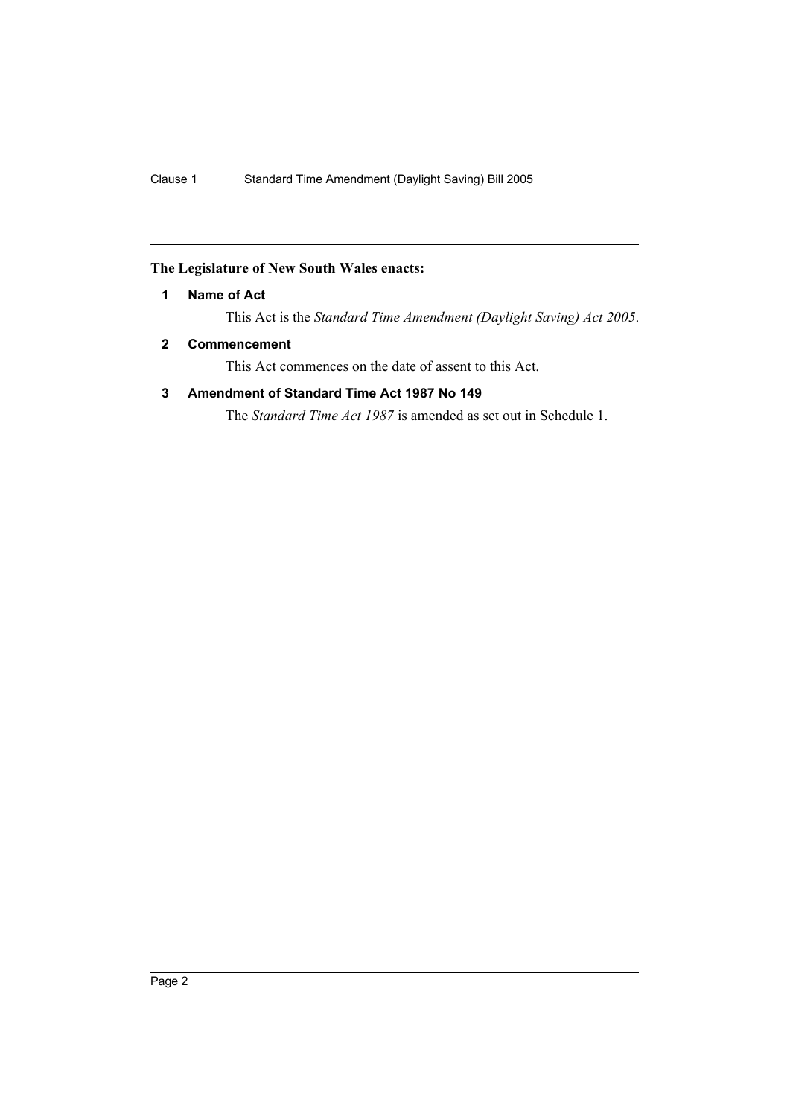### <span id="page-3-0"></span>**The Legislature of New South Wales enacts:**

### **1 Name of Act**

This Act is the *Standard Time Amendment (Daylight Saving) Act 2005*.

## <span id="page-3-1"></span>**2 Commencement**

This Act commences on the date of assent to this Act.

## <span id="page-3-2"></span>**3 Amendment of Standard Time Act 1987 No 149**

The *Standard Time Act 1987* is amended as set out in Schedule 1.